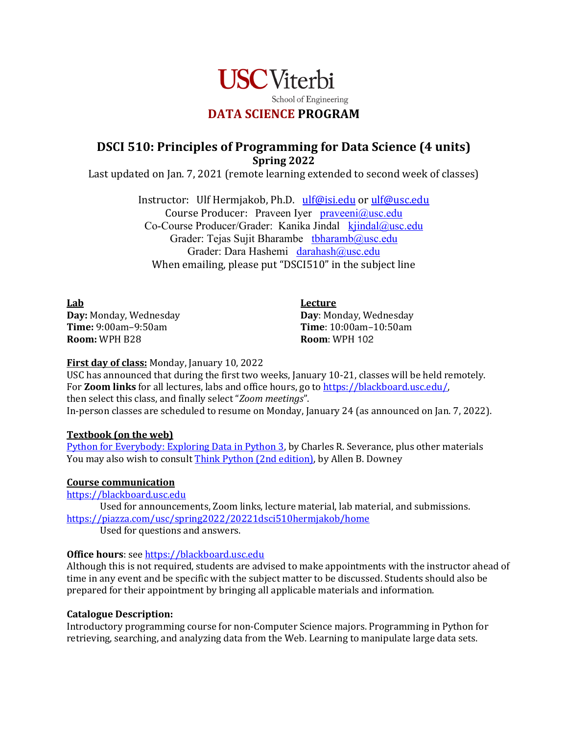

# **DSCI 510: Principles of Programming for Data Science (4 units) Spring 2022**

Last updated on Jan. 7, 2021 (remote learning extended to second week of classes)

Instructor: Ulf Hermjakob, Ph.D. ulf@isi.edu or ulf@usc.edu Course Producer: Praveen Iyer  $praveni@usc.edu$ Co-Course Producer/Grader: Kanika Jindal kjindal@usc.edu Grader: Tejas Sujit Bharambe tbharamb@usc.edu Grader: Dara Hashemi darahash@usc.edu When emailing, please put "DSCI510" in the subject line

**Lab Day: Monday, Wednesday Time:** 9:00am–9:50am **Room:** WPH B28

**Lecture Day: Monday, Wednesday Time**: 10:00am–10:50am **Room:** WPH 102

## **First day of class:** Monday, January 10, 2022

USC has announced that during the first two weeks, January 10-21, classes will be held remotely. For **Zoom links** for all lectures, labs and office hours, go to https://blackboard.usc.edu/, then select this class, and finally select "Zoom meetings". In-person classes are scheduled to resume on Monday, January 24 (as announced on Jan. 7, 2022).

## **Textbook** (on the web)

Python for Everybody: Exploring Data in Python 3, by Charles R. Severance, plus other materials You may also wish to consult Think Python (2nd edition), by Allen B. Downey

#### **Course communication**

https://blackboard.usc.edu

Used for announcements, Zoom links, lecture material, lab material, and submissions. https://piazza.com/usc/spring2022/20221dsci510hermjakob/home Used for questions and answers.

## **Office hours:** see https://blackboard.usc.edu

Although this is not required, students are advised to make appointments with the instructor ahead of time in any event and be specific with the subject matter to be discussed. Students should also be prepared for their appointment by bringing all applicable materials and information.

#### **Catalogue Description:**

Introductory programming course for non-Computer Science majors. Programming in Python for retrieving, searching, and analyzing data from the Web. Learning to manipulate large data sets.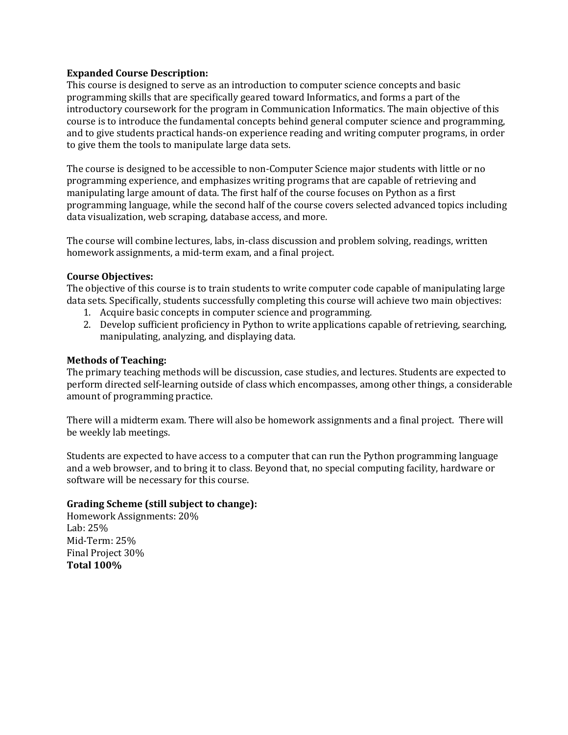### **Expanded Course Description:**

This course is designed to serve as an introduction to computer science concepts and basic programming skills that are specifically geared toward Informatics, and forms a part of the introductory coursework for the program in Communication Informatics. The main objective of this course is to introduce the fundamental concepts behind general computer science and programming, and to give students practical hands-on experience reading and writing computer programs, in order to give them the tools to manipulate large data sets.

The course is designed to be accessible to non-Computer Science major students with little or no programming experience, and emphasizes writing programs that are capable of retrieving and manipulating large amount of data. The first half of the course focuses on Python as a first programming language, while the second half of the course covers selected advanced topics including data visualization, web scraping, database access, and more.

The course will combine lectures, labs, in-class discussion and problem solving, readings, written homework assignments, a mid-term exam, and a final project.

#### **Course Objectives:**

The objective of this course is to train students to write computer code capable of manipulating large data sets. Specifically, students successfully completing this course will achieve two main objectives:

- 1. Acquire basic concepts in computer science and programming.
- 2. Develop sufficient proficiency in Python to write applications capable of retrieving, searching, manipulating, analyzing, and displaying data.

### **Methods of Teaching:**

The primary teaching methods will be discussion, case studies, and lectures. Students are expected to perform directed self-learning outside of class which encompasses, among other things, a considerable amount of programming practice.

There will a midterm exam. There will also be homework assignments and a final project. There will be weekly lab meetings.

Students are expected to have access to a computer that can run the Python programming language and a web browser, and to bring it to class. Beyond that, no special computing facility, hardware or software will be necessary for this course.

#### **Grading Scheme (still subject to change):**

Homework Assignments: 20% Lab: 25% Mid-Term: 25% Final Project 30% **Total 100%**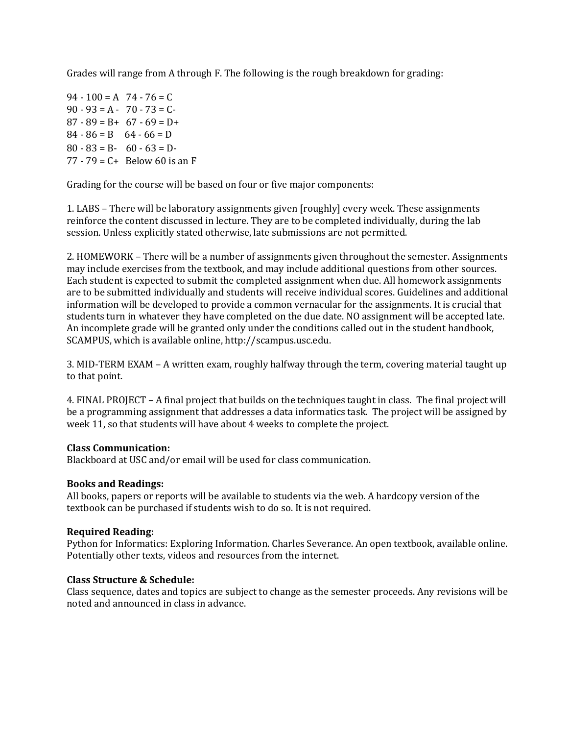Grades will range from A through F. The following is the rough breakdown for grading:

 $94 - 100 = A$   $74 - 76 = C$  $90 - 93 = A - 70 - 73 = C$  $87 - 89 = B + 67 - 69 = D +$  $84 - 86 = B$   $64 - 66 = D$  $80 - 83 = B - 60 - 63 = D$  $77 - 79 = C +$  Below 60 is an F

Grading for the course will be based on four or five major components:

1. LABS - There will be laboratory assignments given [roughly] every week. These assignments reinforce the content discussed in lecture. They are to be completed individually, during the lab session. Unless explicitly stated otherwise, late submissions are not permitted.

2. HOMEWORK – There will be a number of assignments given throughout the semester. Assignments may include exercises from the textbook, and may include additional questions from other sources. Each student is expected to submit the completed assignment when due. All homework assignments are to be submitted individually and students will receive individual scores. Guidelines and additional information will be developed to provide a common vernacular for the assignments. It is crucial that students turn in whatever they have completed on the due date. NO assignment will be accepted late. An incomplete grade will be granted only under the conditions called out in the student handbook, SCAMPUS, which is available online, http://scampus.usc.edu.

3. MID-TERM EXAM – A written exam, roughly halfway through the term, covering material taught up to that point.

4. FINAL PROJECT – A final project that builds on the techniques taught in class. The final project will be a programming assignment that addresses a data informatics task. The project will be assigned by week 11, so that students will have about 4 weeks to complete the project.

#### **Class Communication:**

Blackboard at USC and/or email will be used for class communication.

#### **Books and Readings:**

All books, papers or reports will be available to students via the web. A hardcopy version of the textbook can be purchased if students wish to do so. It is not required.

#### **Required Reading:**

Python for Informatics: Exploring Information. Charles Severance. An open textbook, available online. Potentially other texts, videos and resources from the internet.

#### **Class Structure & Schedule:**

Class sequence, dates and topics are subject to change as the semester proceeds. Any revisions will be noted and announced in class in advance.